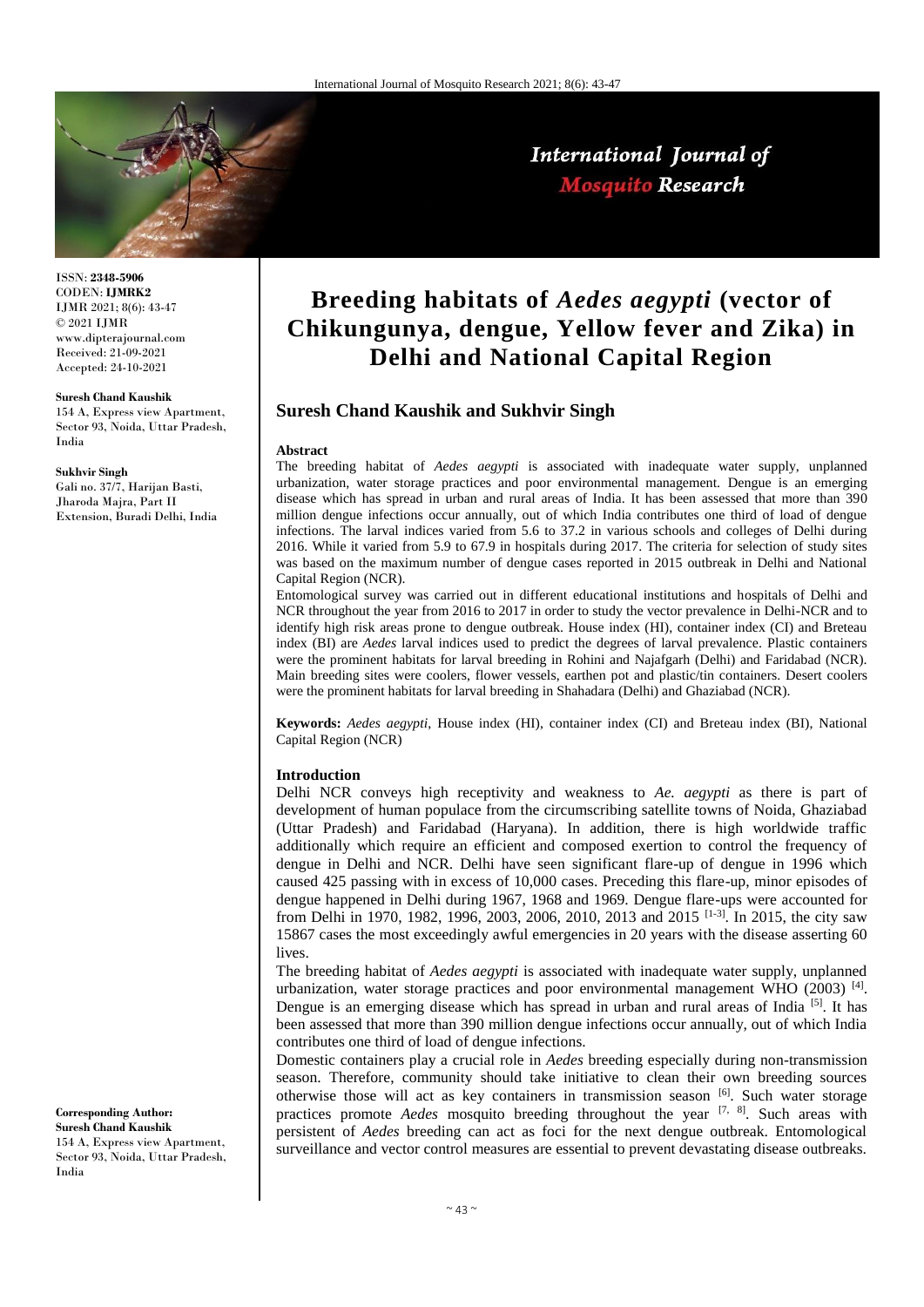

International Journal of **Mosquito Research** 

ISSN: **2348-5906** CODEN: **IJMRK2** IJMR 2021; 8(6): 43-47 © 2021 IJMR www.dipterajournal.com Received: 21-09-2021 Accepted: 24-10-2021

#### **Suresh Chand Kaushik**

154 A, Express view Apartment, Sector 93, Noida, Uttar Pradesh, India

#### **Sukhvir Singh**

Gali no. 37/7, Harijan Basti, Jharoda Majra, Part II Extension, Buradi Delhi, India

# **Breeding habitats of** *Aedes aegypti* **(vector of Chikungunya, dengue, Yellow fever and Zika) in Delhi and National Capital Region**

# **Suresh Chand Kaushik and Sukhvir Singh**

#### **Abstract**

The breeding habitat of *Aedes aegypti* is associated with inadequate water supply, unplanned urbanization, water storage practices and poor environmental management. Dengue is an emerging disease which has spread in urban and rural areas of India. It has been assessed that more than 390 million dengue infections occur annually, out of which India contributes one third of load of dengue infections. The larval indices varied from 5.6 to 37.2 in various schools and colleges of Delhi during 2016. While it varied from 5.9 to 67.9 in hospitals during 2017. The criteria for selection of study sites was based on the maximum number of dengue cases reported in 2015 outbreak in Delhi and National Capital Region (NCR).

Entomological survey was carried out in different educational institutions and hospitals of Delhi and NCR throughout the year from 2016 to 2017 in order to study the vector prevalence in Delhi-NCR and to identify high risk areas prone to dengue outbreak. House index (HI), container index (CI) and Breteau index (BI) are *Aedes* larval indices used to predict the degrees of larval prevalence. Plastic containers were the prominent habitats for larval breeding in Rohini and Najafgarh (Delhi) and Faridabad (NCR). Main breeding sites were coolers, flower vessels, earthen pot and plastic/tin containers. Desert coolers were the prominent habitats for larval breeding in Shahadara (Delhi) and Ghaziabad (NCR).

**Keywords:** *Aedes aegypti*, House index (HI), container index (CI) and Breteau index (BI), National Capital Region (NCR)

## **Introduction**

Delhi NCR conveys high receptivity and weakness to *Ae. aegypti* as there is part of development of human populace from the circumscribing satellite towns of Noida, Ghaziabad (Uttar Pradesh) and Faridabad (Haryana). In addition, there is high worldwide traffic additionally which require an efficient and composed exertion to control the frequency of dengue in Delhi and NCR. Delhi have seen significant flare-up of dengue in 1996 which caused 425 passing with in excess of 10,000 cases. Preceding this flare-up, minor episodes of dengue happened in Delhi during 1967, 1968 and 1969. Dengue flare-ups were accounted for from Delhi in 1970, 1982, 1996, 2003, 2006, 2010, 2013 and 2015 [1-3]. In 2015, the city saw 15867 cases the most exceedingly awful emergencies in 20 years with the disease asserting 60 lives.

The breeding habitat of *Aedes aegypti* is associated with inadequate water supply, unplanned urbanization, water storage practices and poor environmental management WHO (2003)<sup>[4]</sup>. Dengue is an emerging disease which has spread in urban and rural areas of India [5]. It has been assessed that more than 390 million dengue infections occur annually, out of which India contributes one third of load of dengue infections.

Domestic containers play a crucial role in *Aedes* breeding especially during non-transmission season. Therefore, community should take initiative to clean their own breeding sources otherwise those will act as key containers in transmission season [6]. Such water storage practices promote *Aedes* mosquito breeding throughout the year <sup>[7, 8]</sup>. Such areas with persistent of *Aedes* breeding can act as foci for the next dengue outbreak. Entomological surveillance and vector control measures are essential to prevent devastating disease outbreaks.

**Corresponding Author: Suresh Chand Kaushik**

154 A, Express view Apartment, Sector 93, Noida, Uttar Pradesh, India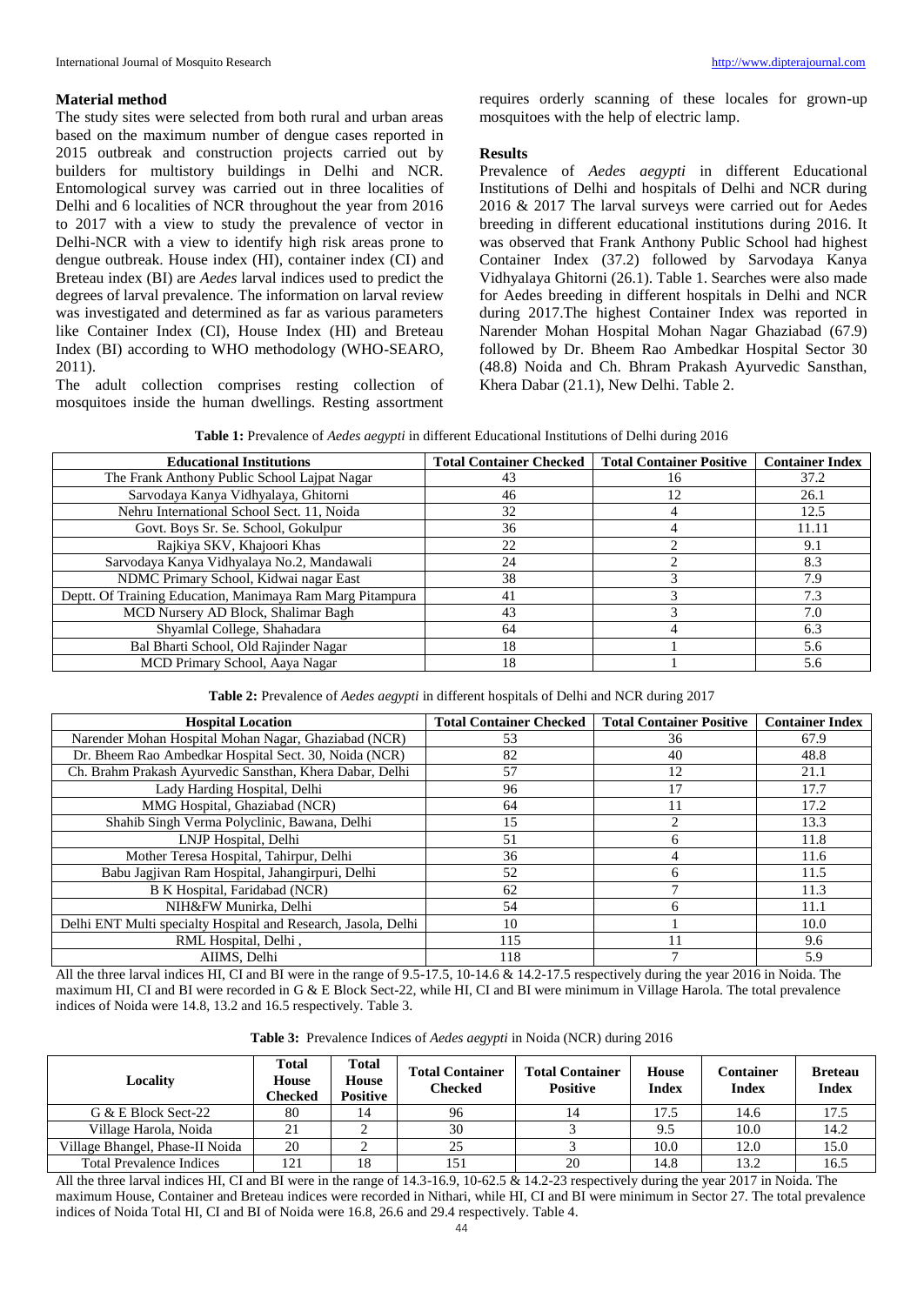## **Material method**

The study sites were selected from both rural and urban areas based on the maximum number of dengue cases reported in 2015 outbreak and construction projects carried out by builders for multistory buildings in Delhi and NCR. Entomological survey was carried out in three localities of Delhi and 6 localities of NCR throughout the year from 2016 to 2017 with a view to study the prevalence of vector in Delhi-NCR with a view to identify high risk areas prone to dengue outbreak. House index (HI), container index (CI) and Breteau index (BI) are *Aedes* larval indices used to predict the degrees of larval prevalence. The information on larval review was investigated and determined as far as various parameters like Container Index (CI), House Index (HI) and Breteau Index (BI) according to WHO methodology (WHO-SEARO, 2011).

The adult collection comprises resting collection of mosquitoes inside the human dwellings. Resting assortment

requires orderly scanning of these locales for grown-up mosquitoes with the help of electric lamp.

## **Results**

Prevalence of *Aedes aegypti* in different Educational Institutions of Delhi and hospitals of Delhi and NCR during 2016 & 2017 The larval surveys were carried out for Aedes breeding in different educational institutions during 2016. It was observed that Frank Anthony Public School had highest Container Index (37.2) followed by Sarvodaya Kanya Vidhyalaya Ghitorni (26.1). Table 1. Searches were also made for Aedes breeding in different hospitals in Delhi and NCR during 2017.The highest Container Index was reported in Narender Mohan Hospital Mohan Nagar Ghaziabad (67.9) followed by Dr. Bheem Rao Ambedkar Hospital Sector 30 (48.8) Noida and Ch. Bhram Prakash Ayurvedic Sansthan, Khera Dabar (21.1), New Delhi. Table 2.

| <b>Table 1:</b> Prevalence of <i>Aedes aegypti</i> in different Educational Institutions of Delhi during 2016 |  |
|---------------------------------------------------------------------------------------------------------------|--|
|---------------------------------------------------------------------------------------------------------------|--|

| <b>Educational Institutions</b>                           | <b>Total Container Checked</b> | <b>Total Container Positive</b> | <b>Container Index</b> |
|-----------------------------------------------------------|--------------------------------|---------------------------------|------------------------|
| The Frank Anthony Public School Lajpat Nagar              | 43                             | 16                              | 37.2                   |
| Sarvodaya Kanya Vidhyalaya, Ghitorni                      | 46                             |                                 | 26.1                   |
| Nehru International School Sect. 11, Noida                | 32                             |                                 | 12.5                   |
| Govt. Boys Sr. Se. School, Gokulpur                       | 36                             |                                 | 11.11                  |
| Rajkiya SKV, Khajoori Khas                                | 22                             |                                 | 9.1                    |
| Sarvodaya Kanya Vidhyalaya No.2, Mandawali                | 24                             |                                 | 8.3                    |
| NDMC Primary School, Kidwai nagar East                    | 38                             |                                 | 7.9                    |
| Deptt. Of Training Education, Manimaya Ram Marg Pitampura | 41                             |                                 | 7.3                    |
| MCD Nursery AD Block, Shalimar Bagh                       | 43                             |                                 | 7.0                    |
| Shyamlal College, Shahadara                               | 64                             |                                 | 6.3                    |
| Bal Bharti School, Old Rajinder Nagar                     | 18                             |                                 | 5.6                    |
| MCD Primary School, Aaya Nagar                            | 18                             |                                 | 5.6                    |

| Table 2: Prevalence of Aedes aegypti in different hospitals of Delhi and NCR during 2017 |  |
|------------------------------------------------------------------------------------------|--|
|------------------------------------------------------------------------------------------|--|

| <b>Hospital Location</b>                                       | <b>Total Container Checked</b> | <b>Total Container Positive</b> | <b>Container Index</b> |
|----------------------------------------------------------------|--------------------------------|---------------------------------|------------------------|
| Narender Mohan Hospital Mohan Nagar, Ghaziabad (NCR)           | 53                             | 36                              | 67.9                   |
| Dr. Bheem Rao Ambedkar Hospital Sect. 30, Noida (NCR)          | 82                             | 40                              | 48.8                   |
| Ch. Brahm Prakash Ayurvedic Sansthan, Khera Dabar, Delhi       | 57                             | 12                              | 21.1                   |
| Lady Harding Hospital, Delhi                                   | 96                             |                                 | 17.7                   |
| MMG Hospital, Ghaziabad (NCR)                                  | 64                             |                                 | 17.2                   |
| Shahib Singh Verma Polyclinic, Bawana, Delhi                   | 15                             |                                 | 13.3                   |
| LNJP Hospital, Delhi                                           | 51                             | h                               | 11.8                   |
| Mother Teresa Hospital, Tahirpur, Delhi                        | 36                             | 4                               | 11.6                   |
| Babu Jagjivan Ram Hospital, Jahangirpuri, Delhi                | 52                             | h                               | 11.5                   |
| B K Hospital, Faridabad (NCR)                                  | 62                             |                                 | 11.3                   |
| NIH&FW Munirka, Delhi                                          | 54                             | h                               | 11.1                   |
| Delhi ENT Multi specialty Hospital and Research, Jasola, Delhi | 10                             |                                 | 10.0                   |
| RML Hospital, Delhi,                                           | 115                            |                                 | 9.6                    |
| AIIMS. Delhi                                                   | 118                            |                                 | 5.9                    |

All the three larval indices HI, CI and BI were in the range of 9.5-17.5, 10-14.6 & 14.2-17.5 respectively during the year 2016 in Noida. The maximum HI, CI and BI were recorded in G & E Block Sect-22, while HI, CI and BI were minimum in Village Harola. The total prevalence indices of Noida were 14.8, 13.2 and 16.5 respectively. Table 3.

|  | Table 3: Prevalence Indices of Aedes aegypti in Noida (NCR) during 2016 |  |  |  |  |  |  |  |
|--|-------------------------------------------------------------------------|--|--|--|--|--|--|--|
|--|-------------------------------------------------------------------------|--|--|--|--|--|--|--|

| Locality                        | <b>Total</b><br>House<br>Checked | <b>Total</b><br><b>House</b><br><b>Positive</b> | <b>Total Container</b><br><b>Checked</b> | <b>Total Container</b><br><b>Positive</b> | <b>House</b><br>Index | Container<br><b>Index</b> | <b>Breteau</b><br><b>Index</b> |
|---------------------------------|----------------------------------|-------------------------------------------------|------------------------------------------|-------------------------------------------|-----------------------|---------------------------|--------------------------------|
| G & E Block Sect-22             | 80                               | 14                                              | 96                                       |                                           | 17.5                  | 14.6                      | 17.5                           |
| Village Harola, Noida           |                                  |                                                 | 30                                       |                                           | 9.5                   | 10.0                      | 14.2                           |
| Village Bhangel, Phase-II Noida | 20                               |                                                 | 25                                       |                                           | 10.0                  | 12.0                      | 15.0                           |
| <b>Total Prevalence Indices</b> | 121                              | 18                                              | 151                                      | 20                                        | 14.8                  | 13.2                      | 16.5                           |

All the three larval indices HI, CI and BI were in the range of 14.3-16.9, 10-62.5 & 14.2-23 respectively during the year 2017 in Noida. The maximum House, Container and Breteau indices were recorded in Nithari, while HI, CI and BI were minimum in Sector 27. The total prevalence indices of Noida Total HI, CI and BI of Noida were 16.8, 26.6 and 29.4 respectively. Table 4.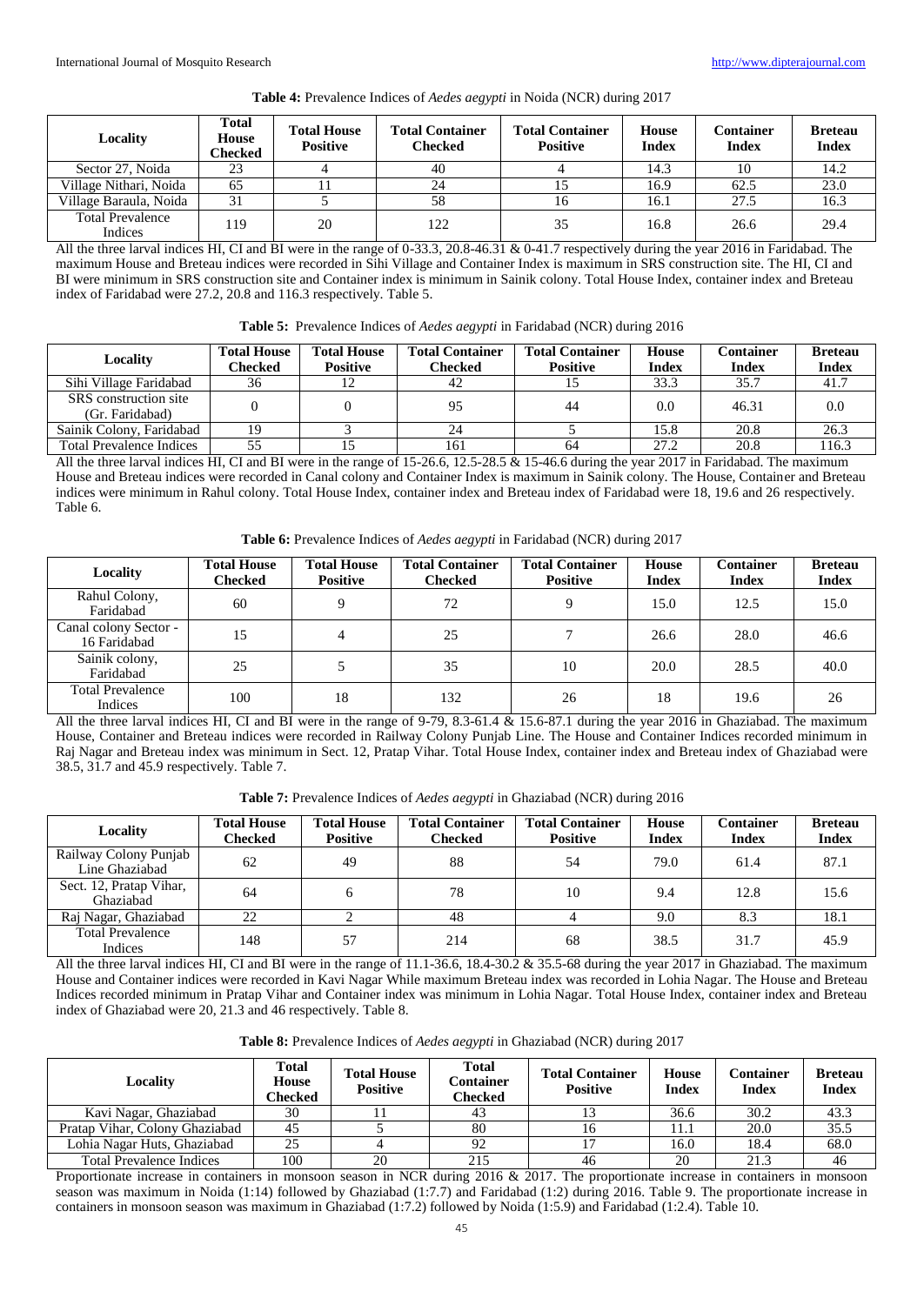| Locality                           | <b>Total</b><br><b>House</b><br>Checked | <b>Total House</b><br><b>Positive</b> | <b>Total Container</b><br><b>Checked</b> | <b>Total Container</b><br><b>Positive</b> | <b>House</b><br><b>Index</b> | Container<br><b>Index</b> | <b>Breteau</b><br><b>Index</b> |
|------------------------------------|-----------------------------------------|---------------------------------------|------------------------------------------|-------------------------------------------|------------------------------|---------------------------|--------------------------------|
| Sector 27, Noida                   | 23                                      |                                       | 40                                       |                                           | 14.3                         |                           | 14.2                           |
| Village Nithari, Noida             | 65                                      |                                       | 24                                       |                                           | 16.9                         | 62.5                      | 23.0                           |
| Village Baraula, Noida             | 31                                      |                                       | 58                                       | 16                                        | 16.1                         | 27.5                      | 16.3                           |
| <b>Total Prevalence</b><br>Indices | 119                                     | 20                                    | 122                                      | 35                                        | 16.8                         | 26.6                      | 29.4                           |

### **Table 4:** Prevalence Indices of *Aedes aegypti* in Noida (NCR) during 2017

All the three larval indices HI, CI and BI were in the range of 0-33.3, 20.8-46.31 & 0-41.7 respectively during the year 2016 in Faridabad. The maximum House and Breteau indices were recorded in Sihi Village and Container Index is maximum in SRS construction site. The HI, CI and BI were minimum in SRS construction site and Container index is minimum in Sainik colony. Total House Index, container index and Breteau index of Faridabad were 27.2, 20.8 and 116.3 respectively. Table 5.

|  | <b>Table 5:</b> Prevalence Indices of <i>Aedes aegypti</i> in Faridabad (NCR) during 2016 |  |  |  |  |  |  |  |
|--|-------------------------------------------------------------------------------------------|--|--|--|--|--|--|--|
|--|-------------------------------------------------------------------------------------------|--|--|--|--|--|--|--|

| <b>Locality</b>                          | <b>Total House</b><br>Checked | <b>Total House</b><br><b>Positive</b> | <b>Total Container</b><br>Checked | <b>Total Container</b><br><b>Positive</b> | <b>House</b><br>Index | Container<br><b>Index</b> | <b>Breteau</b><br><b>Index</b> |
|------------------------------------------|-------------------------------|---------------------------------------|-----------------------------------|-------------------------------------------|-----------------------|---------------------------|--------------------------------|
| Sihi Village Faridabad                   | 36                            |                                       | 42                                |                                           | 33.3                  | 35.7                      | 41.7                           |
| SRS construction site<br>(Gr. Faridabad) |                               |                                       | 95                                | 44                                        | $0.0^{\circ}$         | 46.31                     | 0.0                            |
| Sainik Colony, Faridabad                 | 19                            |                                       | 24                                |                                           | 15.8                  | 20.8                      | 26.3                           |
| <b>Total Prevalence Indices</b>          | 55                            |                                       | 161                               | 64                                        | 27.2                  | 20.8                      | 116.3                          |

All the three larval indices HI, CI and BI were in the range of 15-26.6, 12.5-28.5 & 15-46.6 during the year 2017 in Faridabad. The maximum House and Breteau indices were recorded in Canal colony and Container Index is maximum in Sainik colony. The House, Container and Breteau indices were minimum in Rahul colony. Total House Index, container index and Breteau index of Faridabad were 18, 19.6 and 26 respectively. Table 6.

**Table 6:** Prevalence Indices of *Aedes aegypti* in Faridabad (NCR) during 2017

| Locality                              | <b>Total House</b><br><b>Checked</b> | <b>Total House</b><br><b>Positive</b> | <b>Total Container</b><br><b>Checked</b> | <b>Total Container</b><br><b>Positive</b> | <b>House</b><br><b>Index</b> | Container<br><b>Index</b> | <b>Breteau</b><br><b>Index</b> |
|---------------------------------------|--------------------------------------|---------------------------------------|------------------------------------------|-------------------------------------------|------------------------------|---------------------------|--------------------------------|
| Rahul Colony,<br>Faridabad            | 60                                   |                                       | 72                                       | Q                                         | 15.0                         | 12.5                      | 15.0                           |
| Canal colony Sector -<br>16 Faridabad | 15                                   | 4                                     | 25                                       |                                           | 26.6                         | 28.0                      | 46.6                           |
| Sainik colony,<br>Faridabad           | 25                                   |                                       | 35                                       | 10                                        | 20.0                         | 28.5                      | 40.0                           |
| <b>Total Prevalence</b><br>Indices    | 100                                  | 18                                    | 132                                      | 26                                        | 18                           | 19.6                      | 26                             |

All the three larval indices HI, CI and BI were in the range of 9-79, 8.3-61.4 & 15.6-87.1 during the year 2016 in Ghaziabad. The maximum House, Container and Breteau indices were recorded in Railway Colony Punjab Line. The House and Container Indices recorded minimum in Raj Nagar and Breteau index was minimum in Sect. 12, Pratap Vihar. Total House Index, container index and Breteau index of Ghaziabad were 38.5, 31.7 and 45.9 respectively. Table 7.

| Table 7: Prevalence Indices of Aedes aegypti in Ghaziabad (NCR) during 2016 |  |  |  |  |  |  |
|-----------------------------------------------------------------------------|--|--|--|--|--|--|
|-----------------------------------------------------------------------------|--|--|--|--|--|--|

| Locality                                | <b>Total House</b><br><b>Checked</b> | <b>Total House</b><br><b>Positive</b> | <b>Total Container</b><br><b>Checked</b> | <b>Total Container</b><br><b>Positive</b> | <b>House</b><br><b>Index</b> | Container<br><b>Index</b> | <b>Breteau</b><br><b>Index</b> |
|-----------------------------------------|--------------------------------------|---------------------------------------|------------------------------------------|-------------------------------------------|------------------------------|---------------------------|--------------------------------|
| Railway Colony Punjab<br>Line Ghaziabad | 62                                   | 49                                    | 88                                       | 54                                        | 79.0                         | 61.4                      | 87.1                           |
| Sect. 12, Pratap Vihar,<br>Ghaziabad    | 64                                   |                                       | 78                                       | 10                                        | 9.4                          | 12.8                      | 15.6                           |
| Raj Nagar, Ghaziabad                    | 22                                   |                                       | 48                                       |                                           | 9.0                          | 8.3                       | 18.1                           |
| <b>Total Prevalence</b><br>Indices      | 148                                  | 57                                    | 214                                      | 68                                        | 38.5                         | 31.7                      | 45.9                           |

All the three larval indices HI, CI and BI were in the range of 11.1-36.6, 18.4-30.2 & 35.5-68 during the year 2017 in Ghaziabad. The maximum House and Container indices were recorded in Kavi Nagar While maximum Breteau index was recorded in Lohia Nagar. The House and Breteau Indices recorded minimum in Pratap Vihar and Container index was minimum in Lohia Nagar. Total House Index, container index and Breteau index of Ghaziabad were 20, 21.3 and 46 respectively. Table 8.

| Table 8: Prevalence Indices of Aedes aegypti in Ghaziabad (NCR) during 2017 |
|-----------------------------------------------------------------------------|
|                                                                             |

| Locality                        | <b>Total</b><br><b>House</b><br>Checked | <b>Total House</b><br><b>Positive</b> | <b>Total</b><br>Container<br>Checked | <b>Total Container</b><br><b>Positive</b> | <b>House</b><br>Index | Container<br><b>Index</b> | <b>Breteau</b><br><b>Index</b> |
|---------------------------------|-----------------------------------------|---------------------------------------|--------------------------------------|-------------------------------------------|-----------------------|---------------------------|--------------------------------|
| Kavi Nagar, Ghaziabad           | 30                                      |                                       | 43                                   |                                           | 36.6                  | 30.2                      | 43.3                           |
| Pratap Vihar, Colony Ghaziabad  | 45                                      |                                       | 80                                   |                                           | 11.1                  | 20.0                      | 35.5                           |
| Lohia Nagar Huts, Ghaziabad     | 25                                      |                                       | 92                                   |                                           | 16.0                  | 18.4                      | 68.0                           |
| <b>Total Prevalence Indices</b> | 100                                     | 20                                    | 215                                  | 46                                        | 20                    | 21.3                      | 46                             |

Proportionate increase in containers in monsoon season in NCR during 2016 & 2017. The proportionate increase in containers in monsoon season was maximum in Noida (1:14) followed by Ghaziabad (1:7.7) and Faridabad (1:2) during 2016. Table 9. The proportionate increase in containers in monsoon season was maximum in Ghaziabad (1:7.2) followed by Noida (1:5.9) and Faridabad (1:2.4). Table 10.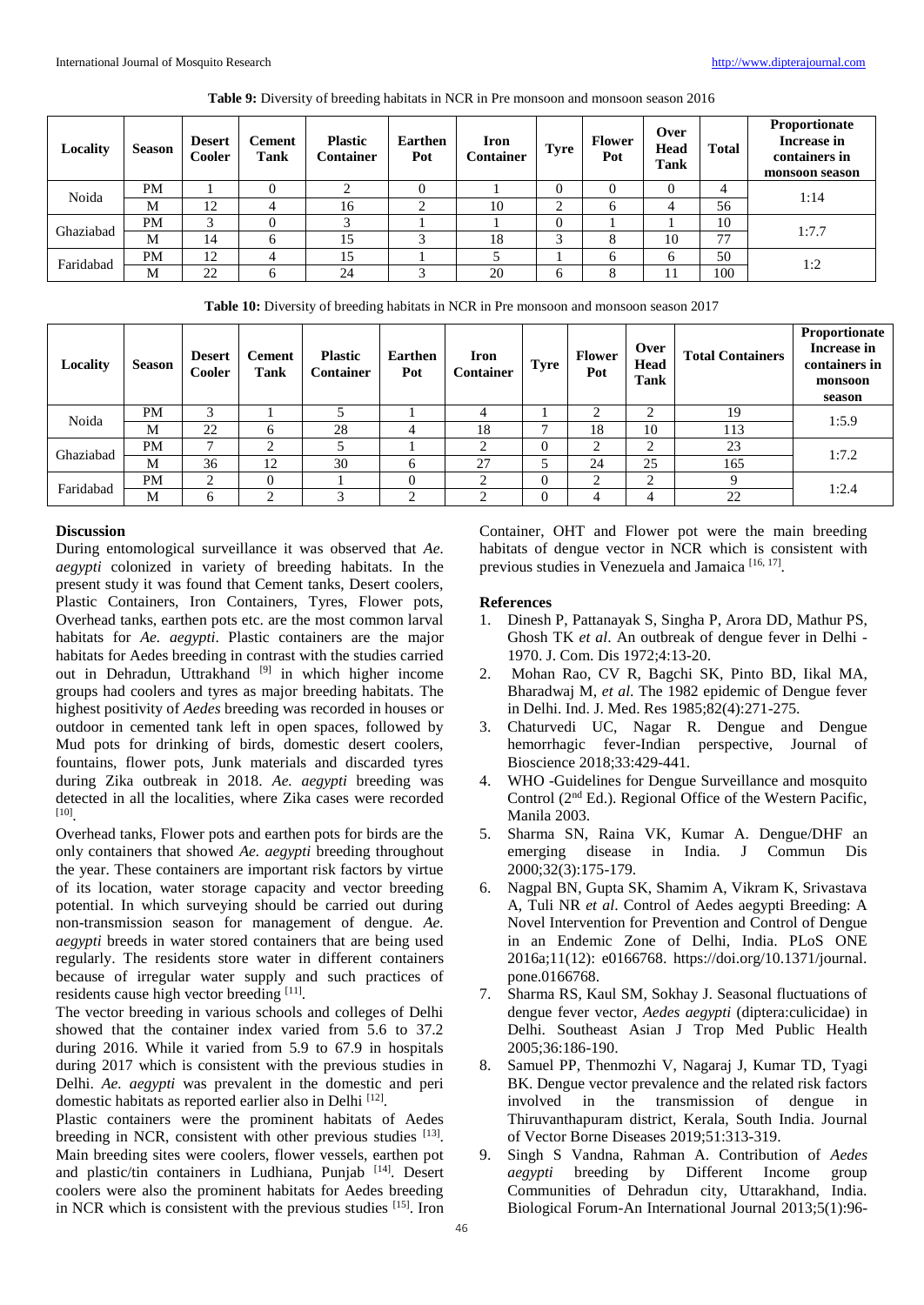| Locality  | <b>Season</b> | <b>Desert</b><br><b>Cooler</b> | Cement<br><b>Tank</b> | <b>Plastic</b><br><b>Container</b> | <b>Earthen</b><br>Pot | <b>Iron</b><br><b>Container</b> | <b>Tyre</b> | <b>Flower</b><br>Pot | Over<br>Head<br>Tank | <b>Total</b> | Proportionate<br>Increase in<br>containers in<br>monsoon season |  |
|-----------|---------------|--------------------------------|-----------------------|------------------------------------|-----------------------|---------------------------------|-------------|----------------------|----------------------|--------------|-----------------------------------------------------------------|--|
| Noida     | PM            |                                |                       |                                    |                       |                                 |             |                      | υ                    | 4            | 1:14                                                            |  |
|           | M             | 12                             |                       | 16                                 | ◠                     | 10                              | ◠           |                      |                      | 56           |                                                                 |  |
| Ghaziabad | PM            | ◠                              |                       |                                    |                       |                                 | 0           |                      |                      | 10           | 1:7.7                                                           |  |
|           | M             | 14                             |                       | 15                                 |                       | 18                              | ◠           |                      | 10                   | 77           |                                                                 |  |
| Faridabad | PM            | 12                             |                       |                                    |                       |                                 |             |                      |                      | 50           | 1:2                                                             |  |
|           | M             | 22                             | <sub>0</sub>          | 24                                 |                       | 20                              | 6           |                      |                      | 100          |                                                                 |  |

**Table 9:** Diversity of breeding habitats in NCR in Pre monsoon and monsoon season 2016

**Table 10:** Diversity of breeding habitats in NCR in Pre monsoon and monsoon season 2017

| <b>Locality</b> | <b>Season</b> | <b>Desert</b><br>Cooler | <b>Cement</b><br>Tank | <b>Plastic</b><br><b>Container</b> | Earthen<br>Pot | <b>Iron</b><br><b>Container</b> | <b>Tyre</b> | <b>Flower</b><br>Pot | Over<br>Head<br>Tank | <b>Total Containers</b> | Proportionate<br>Increase in<br>containers in<br>monsoon<br>season |
|-----------------|---------------|-------------------------|-----------------------|------------------------------------|----------------|---------------------------------|-------------|----------------------|----------------------|-------------------------|--------------------------------------------------------------------|
| Noida           | <b>PM</b>     | 3                       |                       |                                    |                | 4                               |             | ◠                    |                      | 19                      | 1:5.9                                                              |
|                 | M             | 22                      |                       | 28                                 |                | 18                              |             | 18                   | 10                   | 113                     |                                                                    |
| Ghaziabad       | <b>PM</b>     |                         |                       |                                    |                |                                 | O           | ◠                    |                      | 23                      | 1:7.2                                                              |
|                 | M             | 36                      | 12                    | 30                                 | 6              | 27                              |             | 24                   | 25                   | 165                     |                                                                    |
| Faridabad       | <b>PM</b>     | 2                       |                       |                                    | $\theta$       |                                 | 0           | ◠                    | ◠                    | Q                       | 1:2.4                                                              |
|                 | M             | 6                       | ◠                     | ⌒                                  | ◠              | ◠                               | 0           | 4                    |                      | 22                      |                                                                    |

# **Discussion**

During entomological surveillance it was observed that *Ae. aegypti* colonized in variety of breeding habitats. In the present study it was found that Cement tanks, Desert coolers, Plastic Containers, Iron Containers, Tyres, Flower pots, Overhead tanks, earthen pots etc. are the most common larval habitats for *Ae. aegypti*. Plastic containers are the major habitats for Aedes breeding in contrast with the studies carried out in Dehradun, Uttrakhand <sup>[9]</sup> in which higher income groups had coolers and tyres as major breeding habitats. The highest positivity of *Aedes* breeding was recorded in houses or outdoor in cemented tank left in open spaces, followed by Mud pots for drinking of birds, domestic desert coolers, fountains, flower pots, Junk materials and discarded tyres during Zika outbreak in 2018. *Ae. aegypti* breeding was detected in all the localities, where Zika cases were recorded [10] .

Overhead tanks, Flower pots and earthen pots for birds are the only containers that showed *Ae. aegypti* breeding throughout the year. These containers are important risk factors by virtue of its location, water storage capacity and vector breeding potential. In which surveying should be carried out during non-transmission season for management of dengue. *Ae. aegypti* breeds in water stored containers that are being used regularly. The residents store water in different containers because of irregular water supply and such practices of residents cause high vector breeding [11].

The vector breeding in various schools and colleges of Delhi showed that the container index varied from 5.6 to 37.2 during 2016. While it varied from 5.9 to 67.9 in hospitals during 2017 which is consistent with the previous studies in Delhi. *Ae. aegypti* was prevalent in the domestic and peri domestic habitats as reported earlier also in Delhi <a>[12]</a>.

Plastic containers were the prominent habitats of Aedes breeding in NCR, consistent with other previous studies [13]. Main breeding sites were coolers, flower vessels, earthen pot and plastic/tin containers in Ludhiana, Punjab [14]. Desert coolers were also the prominent habitats for Aedes breeding in NCR which is consistent with the previous studies [15]. Iron

Container, OHT and Flower pot were the main breeding habitats of dengue vector in NCR which is consistent with previous studies in Venezuela and Jamaica<sup>[16, 17]</sup>.

# **References**

- 1. Dinesh P, Pattanayak S, Singha P, Arora DD, Mathur PS, Ghosh TK *et al*. An outbreak of dengue fever in Delhi - 1970. J. Com. Dis 1972;4:13-20.
- 2. Mohan Rao, CV R, Bagchi SK, Pinto BD, Iikal MA, Bharadwaj M, *et al*. The 1982 epidemic of Dengue fever in Delhi. Ind. J. Med. Res 1985;82(4):271-275.
- 3. Chaturvedi UC, Nagar R. Dengue and Dengue hemorrhagic fever-Indian perspective, Journal of Bioscience 2018;33:429-441.
- 4. WHO -Guidelines for Dengue Surveillance and mosquito Control (2nd Ed.). Regional Office of the Western Pacific, Manila 2003.
- 5. Sharma SN, Raina VK, Kumar A. Dengue/DHF an emerging disease in India. J Commun Dis 2000;32(3):175-179.
- 6. Nagpal BN, Gupta SK, Shamim A, Vikram K, Srivastava A, Tuli NR *et al*. Control of Aedes aegypti Breeding: A Novel Intervention for Prevention and Control of Dengue in an Endemic Zone of Delhi, India. PLoS ONE 2016a;11(12): e0166768. https://doi.org/10.1371/journal. pone.0166768.
- 7. Sharma RS, Kaul SM, Sokhay J. Seasonal fluctuations of dengue fever vector, *Aedes aegypti* (diptera:culicidae) in Delhi. Southeast Asian J Trop Med Public Health 2005;36:186-190.
- 8. Samuel PP, Thenmozhi V, Nagaraj J, Kumar TD, Tyagi BK. Dengue vector prevalence and the related risk factors involved in the transmission of dengue in Thiruvanthapuram district, Kerala, South India. Journal of Vector Borne Diseases 2019;51:313-319.
- 9. Singh S Vandna, Rahman A. Contribution of *Aedes aegypti* breeding by Different Income group Communities of Dehradun city, Uttarakhand, India. Biological Forum-An International Journal 2013;5(1):96-